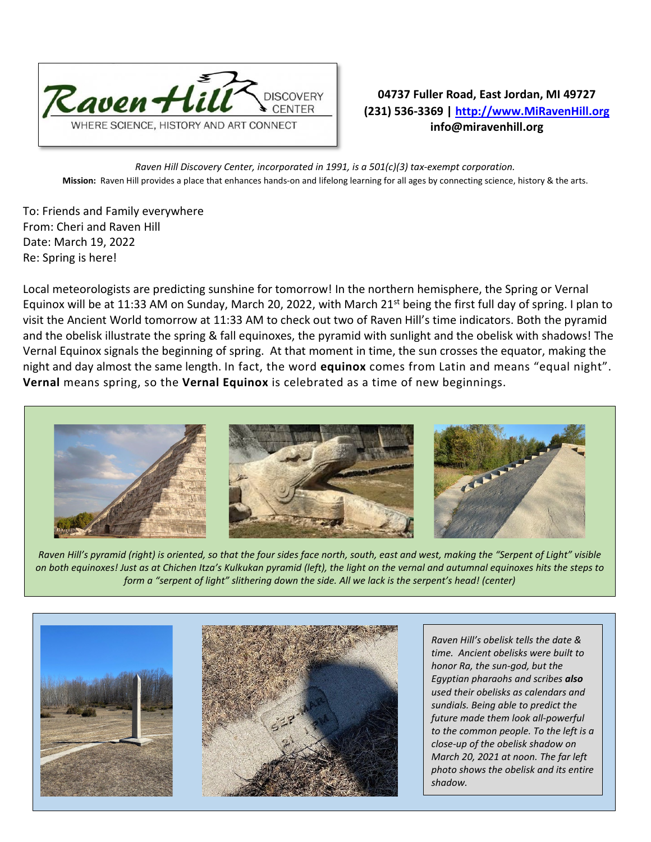

**04737 Fuller Road, East Jordan, MI 49727 (231) 536-3369 | [http://www.MiRavenHill.org](http://www.miravenhill.org/) info@miravenhill.org**

*Raven Hill Discovery Center, incorporated in 1991, is a 501(c)(3) tax-exempt corporation.* **Mission:** Raven Hill provides a place that enhances hands-on and lifelong learning for all ages by connecting science, history & the arts.

To: Friends and Family everywhere From: Cheri and Raven Hill Date: March 19, 2022 Re: Spring is here!

Local meteorologists are predicting sunshine for tomorrow! In the northern hemisphere, the Spring or Vernal Equinox will be at 11:33 AM on Sunday, March 20, 2022, with March 21<sup>st</sup> being the first full day of spring. I plan to visit the Ancient World tomorrow at 11:33 AM to check out two of Raven Hill's time indicators. Both the pyramid and the obelisk illustrate the spring & fall equinoxes, the pyramid with sunlight and the obelisk with shadows! The Vernal Equinox signals the beginning of spring. At that moment in time, the sun crosses the equator, making the night and day almost the same length. In fact, the word **equinox** comes from Latin and means "equal night". **Vernal** means spring, so the **Vernal Equinox** is celebrated as a time of new beginnings.



*Raven Hill's pyramid (right) is oriented, so that the four sides face north, south, east and west, making the "Serpent of Light" visible on both equinoxes! Just as at Chichen Itza's Kulkukan pyramid (left), the light on the vernal and autumnal equinoxes hits the steps to form a "serpent of light" slithering down the side. All we lack is the serpent's head! (center)*



*Raven Hill's obelisk tells the date & time. Ancient obelisks were built to honor Ra, the sun-god, but the Egyptian pharaohs and scribes also used their obelisks as calendars and sundials. Being able to predict the future made them look all-powerful to the common people. To the left is a close-up of the obelisk shadow on March 20, 2021 at noon. The far left photo shows the obelisk and its entire shadow.*